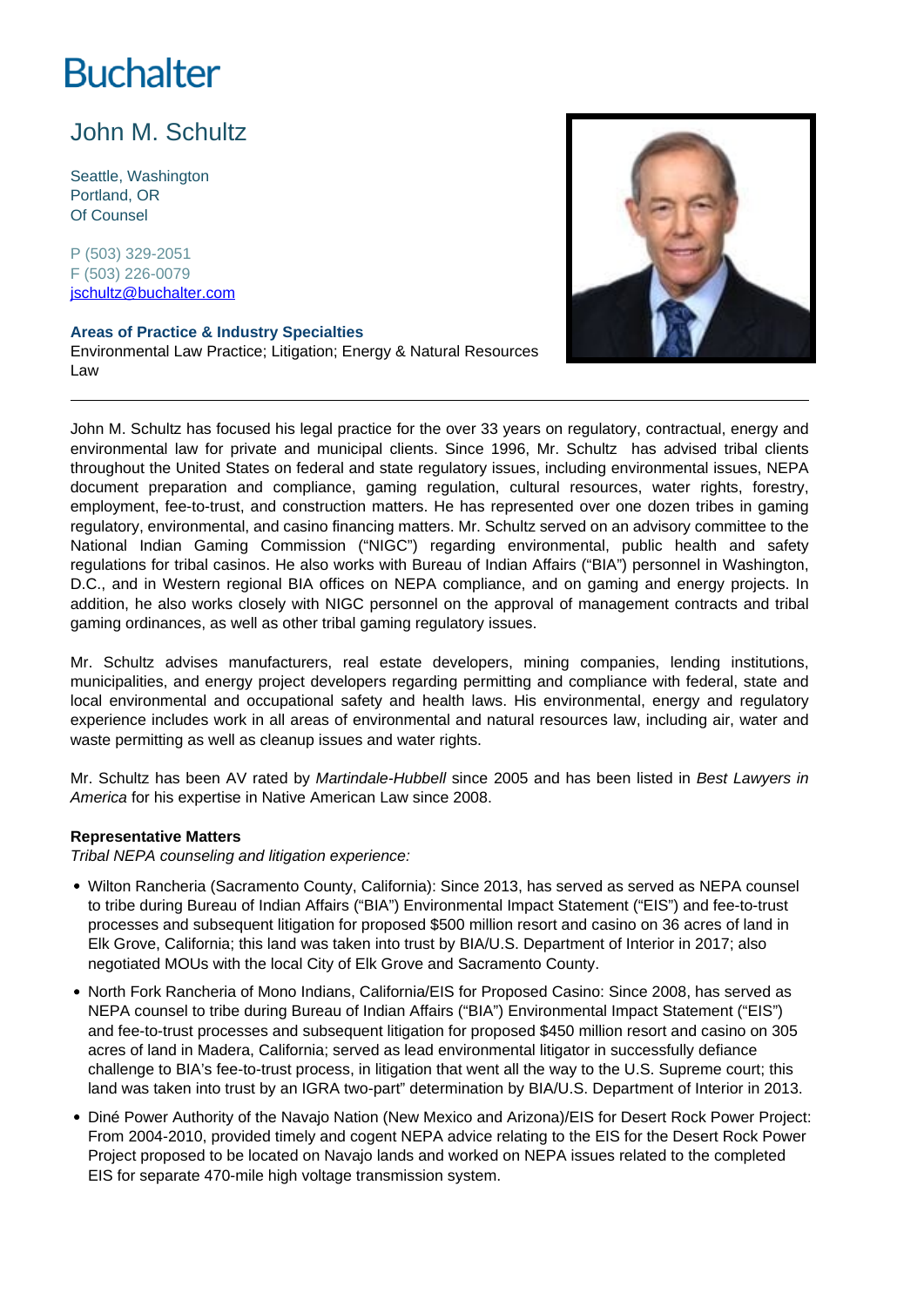# **Buchalter**

# John M. Schultz

Seattle, Washington Portland, OR Of Counsel

P (503) 329-2051 F (503) 226-0079 jschultz@buchalter.com

## **Areas of Practice & Industry Specialties**

Environmental Law Practice; Litigation; Energy & Natural Resources Law



John M. Schultz has focused his legal practice for the over 33 years on regulatory, contractual, energy and environmental law for private and municipal clients. Since 1996, Mr. Schultz has advised tribal clients throughout the United States on federal and state regulatory issues, including environmental issues, NEPA document preparation and compliance, gaming regulation, cultural resources, water rights, forestry, employment, fee-to-trust, and construction matters. He has represented over one dozen tribes in gaming regulatory, environmental, and casino financing matters. Mr. Schultz served on an advisory committee to the National Indian Gaming Commission ("NIGC") regarding environmental, public health and safety regulations for tribal casinos. He also works with Bureau of Indian Affairs ("BIA") personnel in Washington, D.C., and in Western regional BIA offices on NEPA compliance, and on gaming and energy projects. In addition, he also works closely with NIGC personnel on the approval of management contracts and tribal gaming ordinances, as well as other tribal gaming regulatory issues.

Mr. Schultz advises manufacturers, real estate developers, mining companies, lending institutions, municipalities, and energy project developers regarding permitting and compliance with federal, state and local environmental and occupational safety and health laws. His environmental, energy and regulatory experience includes work in all areas of environmental and natural resources law, including air, water and waste permitting as well as cleanup issues and water rights.

Mr. Schultz has been AV rated by Martindale-Hubbell since 2005 and has been listed in Best Lawyers in America for his expertise in Native American Law since 2008.

#### **Representative Matters**

Tribal NEPA counseling and litigation experience:

- Wilton Rancheria (Sacramento County, California): Since 2013, has served as served as NEPA counsel to tribe during Bureau of Indian Affairs ("BIA") Environmental Impact Statement ("EIS") and fee-to-trust processes and subsequent litigation for proposed \$500 million resort and casino on 36 acres of land in Elk Grove, California; this land was taken into trust by BIA/U.S. Department of Interior in 2017; also negotiated MOUs with the local City of Elk Grove and Sacramento County.
- North Fork Rancheria of Mono Indians, California/EIS for Proposed Casino: Since 2008, has served as NEPA counsel to tribe during Bureau of Indian Affairs ("BIA") Environmental Impact Statement ("EIS") and fee-to-trust processes and subsequent litigation for proposed \$450 million resort and casino on 305 acres of land in Madera, California; served as lead environmental litigator in successfully defiance challenge to BIA's fee-to-trust process, in litigation that went all the way to the U.S. Supreme court; this land was taken into trust by an IGRA two-part" determination by BIA/U.S. Department of Interior in 2013.
- Diné Power Authority of the Navajo Nation (New Mexico and Arizona)/EIS for Desert Rock Power Project: From 2004-2010, provided timely and cogent NEPA advice relating to the EIS for the Desert Rock Power Project proposed to be located on Navajo lands and worked on NEPA issues related to the completed EIS for separate 470-mile high voltage transmission system.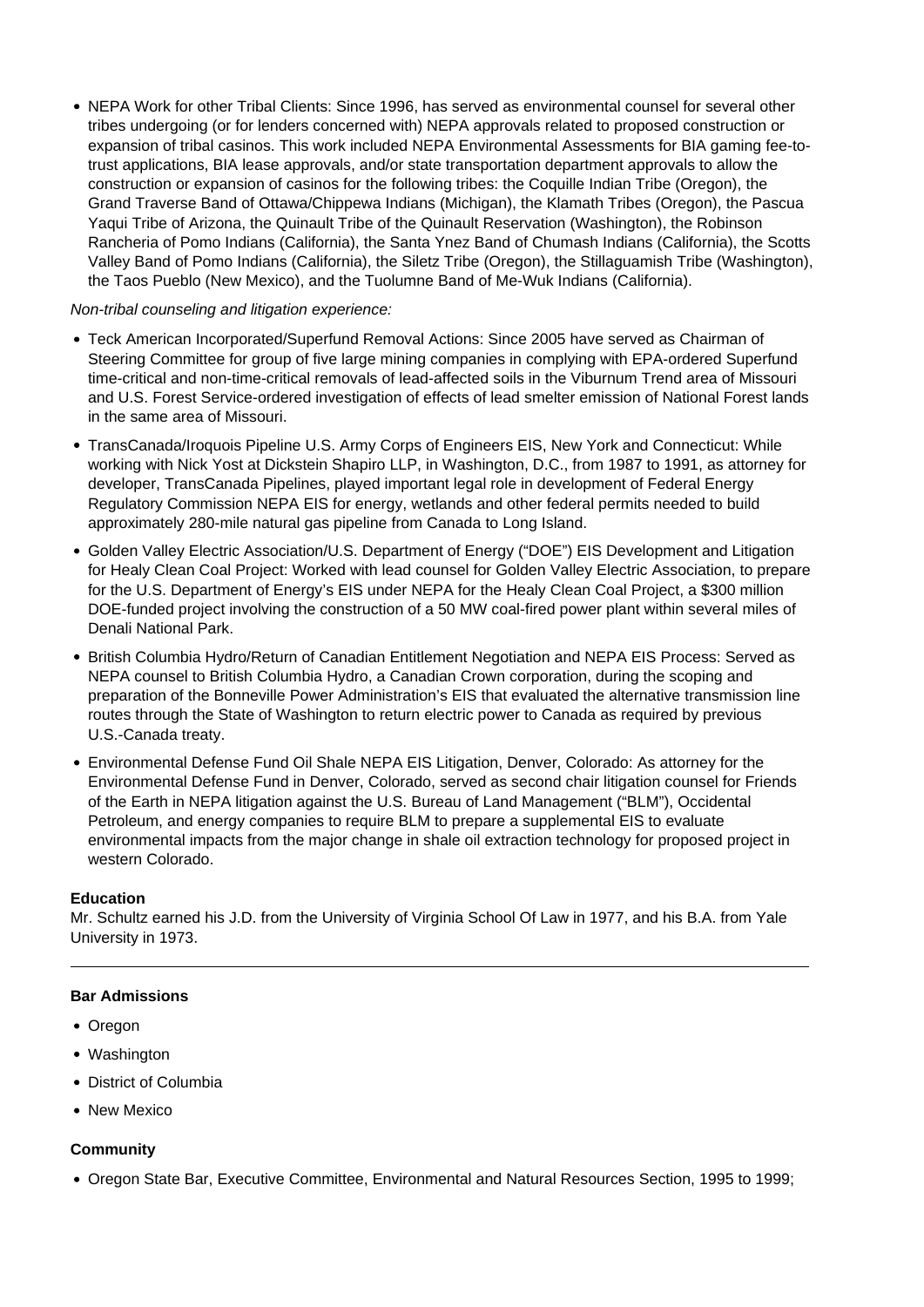• NEPA Work for other Tribal Clients: Since 1996, has served as environmental counsel for several other tribes undergoing (or for lenders concerned with) NEPA approvals related to proposed construction or expansion of tribal casinos. This work included NEPA Environmental Assessments for BIA gaming fee-totrust applications, BIA lease approvals, and/or state transportation department approvals to allow the construction or expansion of casinos for the following tribes: the Coquille Indian Tribe (Oregon), the Grand Traverse Band of Ottawa/Chippewa Indians (Michigan), the Klamath Tribes (Oregon), the Pascua Yaqui Tribe of Arizona, the Quinault Tribe of the Quinault Reservation (Washington), the Robinson Rancheria of Pomo Indians (California), the Santa Ynez Band of Chumash Indians (California), the Scotts Valley Band of Pomo Indians (California), the Siletz Tribe (Oregon), the Stillaguamish Tribe (Washington), the Taos Pueblo (New Mexico), and the Tuolumne Band of Me-Wuk Indians (California).

#### Non-tribal counseling and litigation experience:

- Teck American Incorporated/Superfund Removal Actions: Since 2005 have served as Chairman of Steering Committee for group of five large mining companies in complying with EPA-ordered Superfund time-critical and non-time-critical removals of lead-affected soils in the Viburnum Trend area of Missouri and U.S. Forest Service-ordered investigation of effects of lead smelter emission of National Forest lands in the same area of Missouri.
- TransCanada/Iroquois Pipeline U.S. Army Corps of Engineers EIS, New York and Connecticut: While working with Nick Yost at Dickstein Shapiro LLP, in Washington, D.C., from 1987 to 1991, as attorney for developer, TransCanada Pipelines, played important legal role in development of Federal Energy Regulatory Commission NEPA EIS for energy, wetlands and other federal permits needed to build approximately 280-mile natural gas pipeline from Canada to Long Island.
- Golden Valley Electric Association/U.S. Department of Energy ("DOE") EIS Development and Litigation for Healy Clean Coal Project: Worked with lead counsel for Golden Valley Electric Association, to prepare for the U.S. Department of Energy's EIS under NEPA for the Healy Clean Coal Project, a \$300 million DOE-funded project involving the construction of a 50 MW coal-fired power plant within several miles of Denali National Park.
- British Columbia Hydro/Return of Canadian Entitlement Negotiation and NEPA EIS Process: Served as NEPA counsel to British Columbia Hydro, a Canadian Crown corporation, during the scoping and preparation of the Bonneville Power Administration's EIS that evaluated the alternative transmission line routes through the State of Washington to return electric power to Canada as required by previous U.S.-Canada treaty.
- Environmental Defense Fund Oil Shale NEPA EIS Litigation, Denver, Colorado: As attorney for the Environmental Defense Fund in Denver, Colorado, served as second chair litigation counsel for Friends of the Earth in NEPA litigation against the U.S. Bureau of Land Management ("BLM"), Occidental Petroleum, and energy companies to require BLM to prepare a supplemental EIS to evaluate environmental impacts from the major change in shale oil extraction technology for proposed project in western Colorado.

## **Education**

Mr. Schultz earned his J.D. from the University of Virginia School Of Law in 1977, and his B.A. from Yale University in 1973.

## **Bar Admissions**

- Oregon
- Washington
- District of Columbia
- New Mexico

#### **Community**

Oregon State Bar, Executive Committee, Environmental and Natural Resources Section, 1995 to 1999;